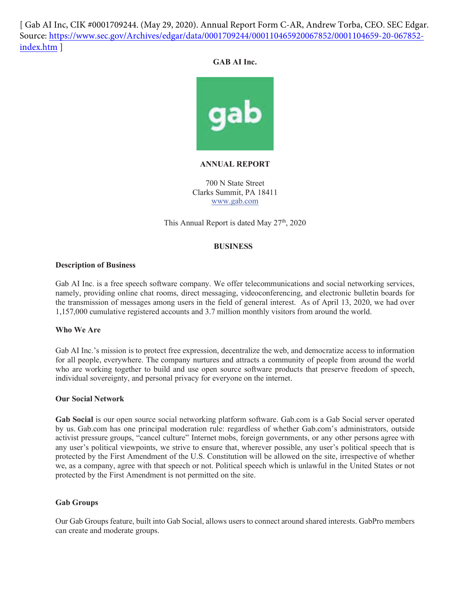[ Gab AI Inc, CIK #0001709244. (May 29, 2020). Annual Report Form C-AR, Andrew Torba, CEO. SEC Edgar. [Source: https://www.sec.gov/Archives/edgar/data/0001709244/000110465920067852/0001104659-20-067852](https://www.sec.gov/Archives/edgar/data/0001709244/000110465920067852/0001104659-20-067852-index.htm) index.htm ]

# GAB AI Inc.



# *ANNUAL REPORT*

700 N State Street Clarks Summit, PA 18411 www.gab.com

This Annual Report is dated May 27<sup>th</sup>, 2020

# **BUSINESS**

# **Description of Business**

Gab AI Inc. is a free speech software company. We offer telecommunications and social networking services, namely, providing online chat rooms, direct messaging, videoconferencing, and electronic bulletin boards for the transmission of messages among users in the field of general interest. As of April 13, 2020, we had over 1,157,000 cumulative registered accounts and 3.7 million monthly visitors from around the world.

# **Who We Are**

Gab AI Inc.'s mission is to protect free expression, decentralize the web, and democratize access to information for all people, everywhere. The company nurtures and attracts a community of people from around the world who are working together to build and use open source software products that preserve freedom of speech, individual sovereignty, and personal privacy for everyone on the internet.

### *Our Social Network*

Gab Social is our open source social networking platform software. Gab.com is a Gab Social server operated by us. Gab.com has one principal moderation rule: regardless of whether Gab.com's administrators, outside activist pressure groups, "cancel culture" Internet mobs, foreign governments, or any other persons agree with any user's political viewpoints, we strive to ensure that, wherever possible, any user's political speech that is protected by the First Amendment of the U.S. Constitution will be allowed on the site, irrespective of whether we, as a company, agree with that speech or not. Political speech which is unlawful in the United States or not protected by the First Amendment is not permitted on the site.

### **Gab Groups**

Our Gab Groups feature, built into Gab Social, allows users to connect around shared interests. GabPro members can create and moderate groups.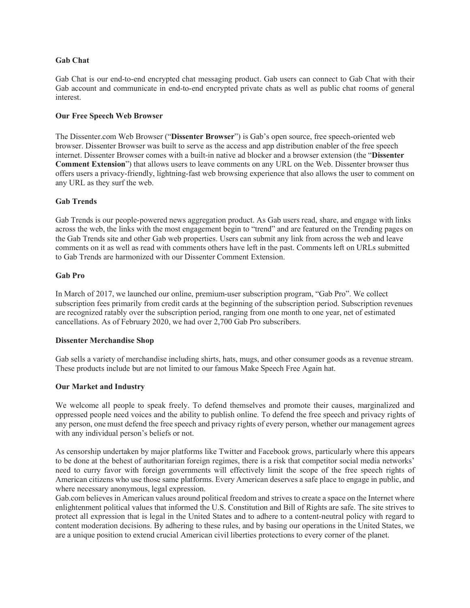### **Gab Chat**

Gab Chat is our end-to-end encrypted chat messaging product. Gab users can connect to Gab Chat with their Gab account and communicate in end-to-end encrypted private chats as well as public chat rooms of general interest.

### **Our Free Speech Web Browser**

The Dissenter.com Web Browser ("Dissenter Browser") is Gab's open source, free speech-oriented web browser. Dissenter Browser was built to serve as the access and app distribution enabler of the free speech internet. Dissenter Browser comes with a built-in native ad blocker and a browser extension (the "Dissenter" **Comment Extension**") that allows users to leave comments on any URL on the Web. Dissenter browser thus offers users a privacy-friendly, lightning-fast web browsing experience that also allows the user to comment on any URL as they surf the web.

# **Gab Trends**

Gab Trends is our people-powered news aggregation product. As Gab users read, share, and engage with links across the web, the links with the most engagement begin to "trend" and are featured on the Trending pages on the Gab Trends site and other Gab web properties. Users can submit any link from across the web and leave comments on it as well as read with comments others have left in the past. Comments left on URLs submitted to Gab Trends are harmonized with our Dissenter Comment Extension.

### Gab Pro

In March of 2017, we launched our online, premium-user subscription program, "Gab Pro". We collect subscription fees primarily from credit cards at the beginning of the subscription period. Subscription revenues are recognized ratably over the subscription period, ranging from one month to one year, net of estimated cancellations. As of February 2020, we had over 2,700 Gab Pro subscribers.

# **Dissenter Merchandise Shop**

Gab sells a variety of merchandise including shirts, hats, mugs, and other consumer goods as a revenue stream. These products include but are not limited to our famous Make Speech Free Again hat.

### **Our Market and Industry**

We welcome all people to speak freely. To defend themselves and promote their causes, marginalized and oppressed people need voices and the ability to publish online. To defend the free speech and privacy rights of any person, one must defend the free speech and privacy rights of every person, whether our management agrees with any individual person's beliefs or not.

As censorship undertaken by major platforms like Twitter and Facebook grows, particularly where this appears to be done at the behest of authoritarian foreign regimes, there is a risk that competitor social media networks' need to curry favor with foreign governments will effectively limit the scope of the free speech rights of American citizens who use those same platforms. Every American deserves a safe place to engage in public, and where necessary anonymous, legal expression.

Gab.com believes in American values around political freedom and strives to create a space on the Internet where enlightenment political values that informed the U.S. Constitution and Bill of Rights are safe. The site strives to protect all expression that is legal in the United States and to adhere to a content-neutral policy with regard to content moderation decisions. By adhering to these rules, and by basing our operations in the United States, we are a unique position to extend crucial American civil liberties protections to every corner of the planet.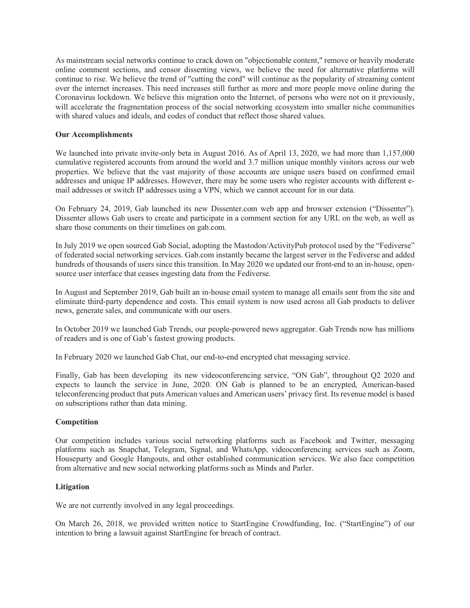As mainstream social networks continue to crack down on "objectionable content," remove or heavily moderate online comment sections, and censor dissenting views, we believe the need for alternative platforms will continue to rise. We believe the trend of "cutting the cord" will continue as the popularity of streaming content over the internet increases. This need increases still further as more and more people move online during the Coronavirus lockdown. We believe this migration onto the Internet, of persons who were not on it previously, will accelerate the fragmentation process of the social networking ecosystem into smaller niche communities with shared values and ideals, and codes of conduct that reflect those shared values.

# **Our Accomplishments**

We launched into private invite-only beta in August 2016. As of April 13, 2020, we had more than 1,157,000 cumulative registered accounts from around the world and 3.7 million unique monthly visitors across our web properties. We believe that the vast majority of those accounts are unique users based on confirmed email addresses and unique IP addresses. However, there may be some users who register accounts with different email addresses or switch IP addresses using a VPN, which we cannot account for in our data.

On February 24, 2019, Gab launched its new Dissenter.com web app and browser extension ("Dissenter"). Dissenter allows Gab users to create and participate in a comment section for any URL on the web, as well as share those comments on their timelines on gab.com.

In July 2019 we open sourced Gab Social, adopting the Mastodon/ActivityPub protocol used by the "Fediverse" of federated social networking services. Gab.com instantly became the largest server in the Fediverse and added hundreds of thousands of users since this transition. In May 2020 we updated our front-end to an in-house, opensource user interface that ceases ingesting data from the Fediverse.

In August and September 2019, Gab built an in-house email system to manage all emails sent from the site and eliminate third-party dependence and costs. This email system is now used across all Gab products to deliver news, generate sales, and communicate with our users.

In October 2019 we launched Gab Trends, our people-powered news aggregator. Gab Trends now has millions of readers and is one of Gab's fastest growing products.

In February 2020 we launched Gab Chat, our end-to-end encrypted chat messaging service.

Finally, Gab has been developing its new videoconferencing service, "ON Gab", throughout Q2 2020 and expects to launch the service in June, 2020. ON Gab is planned to be an encrypted, American-based teleconferencing product that puts American values and American users' privacy first. Its revenue model is based on subscriptions rather than data mining.

# $Competition$

Our competition includes various social networking platforms such as Facebook and Twitter, messaging platforms such as Snapchat, Telegram, Signal, and WhatsApp, videoconferencing services such as Zoom, Houseparty and Google Hangouts, and other established communication services. We also face competition from alternative and new social networking platforms such as Minds and Parler.

### $Litigation$

We are not currently involved in any legal proceedings.

On March 26, 2018, we provided written notice to StartEngine Crowdfunding, Inc. ("StartEngine") of our intention to bring a lawsuit against StartEngine for breach of contract.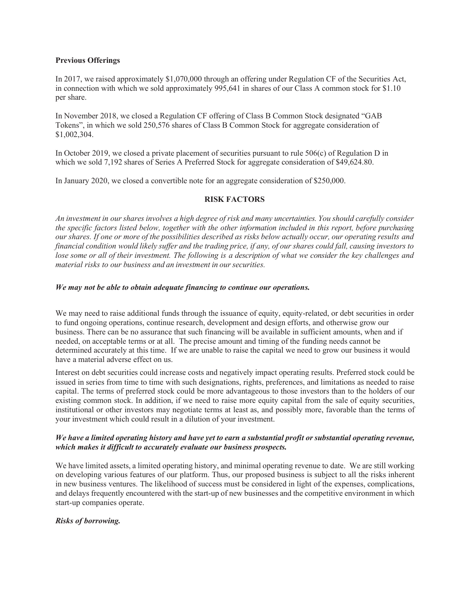### **Previous Offerings**

In 2017, we raised approximately \$1,070,000 through an offering under Regulation CF of the Securities Act, in connection with which we sold approximately 995,641 in shares of our Class A common stock for \$1.10 per share.

In November 2018, we closed a Regulation CF offering of Class B Common Stock designated "GAB Tokens", in which we sold 250,576 shares of Class B Common Stock for aggregate consideration of \$1,002,304.

In October 2019, we closed a private placement of securities pursuant to rule  $506(c)$  of Regulation D in which we sold 7,192 shares of Series A Preferred Stock for aggregate consideration of \$49,624.80.

In January 2020, we closed a convertible note for an aggregate consideration of \$250,000.

# **RISK FACTORS**

An investment in our shares involves a high degree of risk and many uncertainties. You should carefully consider the specific factors listed below, together with the other information included in this report, before purchasing our shares. If one or more of the possibilities described as risks below actually occur, our operating results and financial condition would likely suffer and the trading price, if any, of our shares could fall, causing investors to lose some or all of their investment. The following is a description of what we consider the key challenges and *material risks to our business and an investment in our securities.* 

# *We may not be able to obtain adequate financing to continue our operations.*

We may need to raise additional funds through the issuance of equity, equity-related, or debt securities in order to fund ongoing operations, continue research, development and design efforts, and otherwise grow our business. There can be no assurance that such financing will be available in sufficient amounts, when and if needed, on acceptable terms or at all. The precise amount and timing of the funding needs cannot be determined accurately at this time. If we are unable to raise the capital we need to grow our business it would have a material adverse effect on us.

Interest on debt securities could increase costs and negatively impact operating results. Preferred stock could be issued in series from time to time with such designations, rights, preferences, and limitations as needed to raise capital. The terms of preferred stock could be more advantageous to those investors than to the holders of our existing common stock. In addition, if we need to raise more equity capital from the sale of equity securities, institutional or other investors may negotiate terms at least as, and possibly more, favorable than the terms of your investment which could result in a dilution of your investment.

# We have a limited operating history and have yet to earn a substantial profit or substantial operating revenue, *which makes it difficult to accurately evaluate our business prospects.*

We have limited assets, a limited operating history, and minimal operating revenue to date. We are still working on developing various features of our platform. Thus, our proposed business is subject to all the risks inherent in new business ventures. The likelihood of success must be considered in light of the expenses, complications, and delays frequently encountered with the start-up of new businesses and the competitive environment in which start-up companies operate.

# **Risks of borrowing.**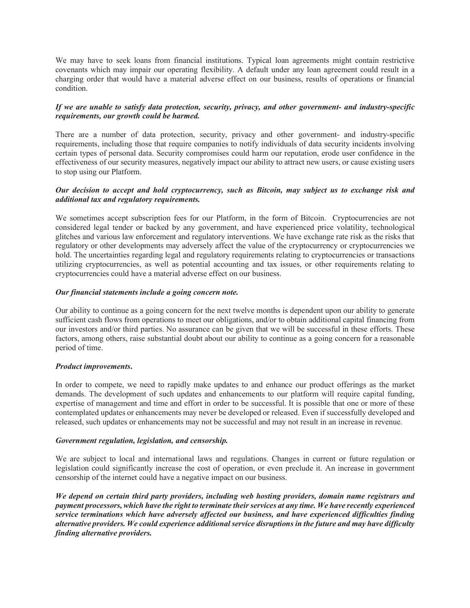We may have to seek loans from financial institutions. Typical loan agreements might contain restrictive covenants which may impair our operating flexibility. A default under any loan agreement could result in a charging order that would have a material adverse effect on our business, results of operations or financial condition.

# If we are unable to satisfy data protection, security, privacy, and other government- and industry-specific requirements, our growth could be harmed.

There are a number of data protection, security, privacy and other government- and industry-specific requirements, including those that require companies to notify individuals of data security incidents involving certain types of personal data. Security compromises could harm our reputation, erode user confidence in the effectiveness of our security measures, negatively impact our ability to attract new users, or cause existing users to stop using our Platform.

# Our decision to accept and hold cryptocurrency, such as Bitcoin, may subject us to exchange risk and  $additional$  tax and regulatory requirements.

We sometimes accept subscription fees for our Platform, in the form of Bitcoin. Cryptocurrencies are not considered legal tender or backed by any government, and have experienced price volatility, technological glitches and various law enforcement and regulatory interventions. We have exchange rate risk as the risks that regulatory or other developments may adversely affect the value of the cryptocurrency or cryptocurrencies we hold. The uncertainties regarding legal and regulatory requirements relating to cryptocurrencies or transactions utilizing cryptocurrencies, as well as potential accounting and tax issues, or other requirements relating to cryptocurrencies could have a material adverse effect on our business.

# Our financial statements include a going concern note.

Our ability to continue as a going concern for the next twelve months is dependent upon our ability to generate sufficient cash flows from operations to meet our obligations, and/or to obtain additional capital financing from our investors and/or third parties. No assurance can be given that we will be successful in these efforts. These factors, among others, raise substantial doubt about our ability to continue as a going concern for a reasonable period of time.

# $Product$  *improvements.*

In order to compete, we need to rapidly make updates to and enhance our product offerings as the market demands. The development of such updates and enhancements to our platform will require capital funding, expertise of management and time and effort in order to be successful. It is possible that one or more of these contemplated updates or enhancements may never be developed or released. Even if successfully developed and released, such updates or enhancements may not be successful and may not result in an increase in revenue.

# *Government regulation, legislation, and censorship.*

We are subject to local and international laws and regulations. Changes in current or future regulation or legislation could significantly increase the cost of operation, or even preclude it. An increase in government censorship of the internet could have a negative impact on our business.

We depend on certain third party providers, including web hosting providers, domain name registrars and payment processors, which have the right to terminate their services at any time. We have recently experienced *kervice terminations which have adversely affected our business, and have experienced difficulties finding* alternative providers. We could experience additional service disruptions in the future and may have difficulty *finding alternative providers.*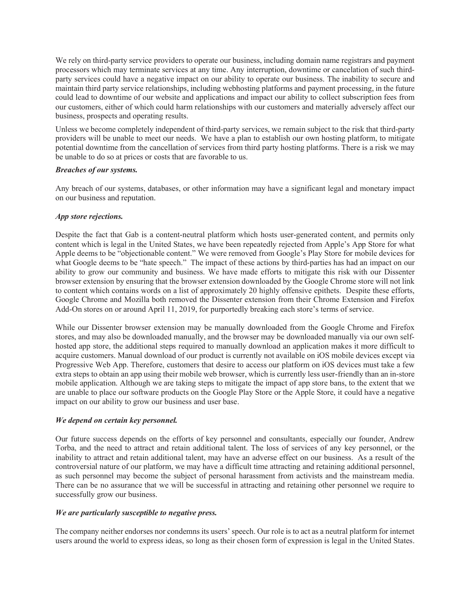We rely on third-party service providers to operate our business, including domain name registrars and payment processors which may terminate services at any time. Any interruption, downtime or cancelation of such thirdparty services could have a negative impact on our ability to operate our business. The inability to secure and maintain third party service relationships, including webhosting platforms and payment processing, in the future could lead to downtime of our website and applications and impact our ability to collect subscription fees from our customers, either of which could harm relationships with our customers and materially adversely affect our business, prospects and operating results.

Unless we become completely independent of third-party services, we remain subject to the risk that third-party providers will be unable to meet our needs. We have a plan to establish our own hosting platform, to mitigate potential downtime from the cancellation of services from third party hosting platforms. There is a risk we may be unable to do so at prices or costs that are favorable to us.

### **Breaches of our systems.**

Any breach of our systems, databases, or other information may have a significant legal and monetary impact on our business and reputation.

# *App store rejections.*

Despite the fact that Gab is a content-neutral platform which hosts user-generated content, and permits only content which is legal in the United States, we have been repeatedly rejected from Apple's App Store for what Apple deems to be "objectionable content." We were removed from Google's Play Store for mobile devices for what Google deems to be "hate speech." The impact of these actions by third-parties has had an impact on our ability to grow our community and business. We have made efforts to mitigate this risk with our Dissenter browser extension by ensuring that the browser extension downloaded by the Google Chrome store will not link to content which contains words on a list of approximately 20 highly offensive epithets. Despite these efforts, Google Chrome and Mozilla both removed the Dissenter extension from their Chrome Extension and Firefox Add-On stores on or around April 11, 2019, for purportedly breaking each store's terms of service.

While our Dissenter browser extension may be manually downloaded from the Google Chrome and Firefox stores, and may also be downloaded manually, and the browser may be downloaded manually via our own selfhosted app store, the additional steps required to manually download an application makes it more difficult to acquire customers. Manual download of our product is currently not available on iOS mobile devices except via Progressive Web App. Therefore, customers that desire to access our platform on iOS devices must take a few extra steps to obtain an app using their mobile web browser, which is currently less user-friendly than an in-store mobile application. Although we are taking steps to mitigate the impact of app store bans, to the extent that we are unable to place our software products on the Google Play Store or the Apple Store, it could have a negative impact on our ability to grow our business and user base.

### *We depend on certain key personnel.*

Our future success depends on the efforts of key personnel and consultants, especially our founder, Andrew Torba, and the need to attract and retain additional talent. The loss of services of any key personnel, or the inability to attract and retain additional talent, may have an adverse effect on our business. As a result of the controversial nature of our platform, we may have a difficult time attracting and retaining additional personnel, as such personnel may become the subject of personal harassment from activists and the mainstream media. There can be no assurance that we will be successful in attracting and retaining other personnel we require to successfully grow our business.

### *We are particularly susceptible to negative press.*

The company neither endorses nor condemns its users' speech. Our role is to act as a neutral platform for internet users around the world to express ideas, so long as their chosen form of expression is legal in the United States.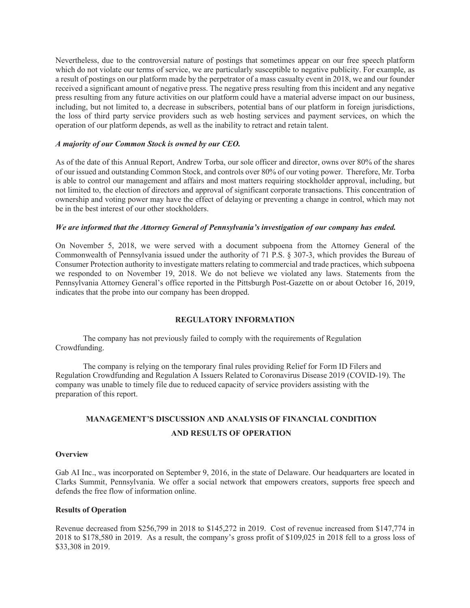Nevertheless, due to the controversial nature of postings that sometimes appear on our free speech platform which do not violate our terms of service, we are particularly susceptible to negative publicity. For example, as a result of postings on our platform made by the perpetrator of a mass casualty event in 2018, we and our founder received a significant amount of negative press. The negative press resulting from this incident and any negative press resulting from any future activities on our platform could have a material adverse impact on our business, including, but not limited to, a decrease in subscribers, potential bans of our platform in foreign jurisdictions, the loss of third party service providers such as web hosting services and payment services, on which the operation of our platform depends, as well as the inability to retract and retain talent.

### A majority of our Common Stock is owned by our CEO.

As of the date of this Annual Report, Andrew Torba, our sole officer and director, owns over 80% of the shares of our issued and outstanding Common Stock, and controls over 80% of our voting power. Therefore, Mr. Torba is able to control our management and affairs and most matters requiring stockholder approval, including, but not limited to, the election of directors and approval of significant corporate transactions. This concentration of ownership and voting power may have the effect of delaying or preventing a change in control, which may not be in the best interest of our other stockholders.

### *We are informed that the Attorney General of Pennsylvania's investigation of our company has ended.*

On November 5, 2018, we were served with a document subpoena from the Attorney General of the Commonwealth of Pennsylvania issued under the authority of 71 P.S. § 307-3, which provides the Bureau of Consumer Protection authority to investigate matters relating to commercial and trade practices, which subpoena we responded to on November 19, 2018. We do not believe we violated any laws. Statements from the Pennsylvania Attorney General's office reported in the Pittsburgh Post-Gazette on or about October 16, 2019, indicates that the probe into our company has been dropped.

# **REGULATORY INFORMATION**

The company has not previously failed to comply with the requirements of Regulation Crowdfunding.

The company is relying on the temporary final rules providing Relief for Form ID Filers and Regulation Crowdfunding and Regulation A Issuers Related to Coronavirus Disease 2019 (COVID-19). The company was unable to timely file due to reduced capacity of service providers assisting with the preparation of this report.

# **MANAGEMENT'S DISCUSSION AND ANALYSIS OF FINANCIAL CONDITION AND RESULTS OF OPERATION**

### **Overview**

Gab AI Inc., was incorporated on September 9, 2016, in the state of Delaware. Our headquarters are located in Clarks Summit, Pennsylvania. We offer a social network that empowers creators, supports free speech and defends the free flow of information online.

### **Results of Operation**

Revenue decreased from \$256,799 in 2018 to \$145,272 in 2019. Cost of revenue increased from \$147,774 in  $2018$  to \$178,580 in 2019. As a result, the company's gross profit of \$109,025 in 2018 fell to a gross loss of \$33,308 in 2019.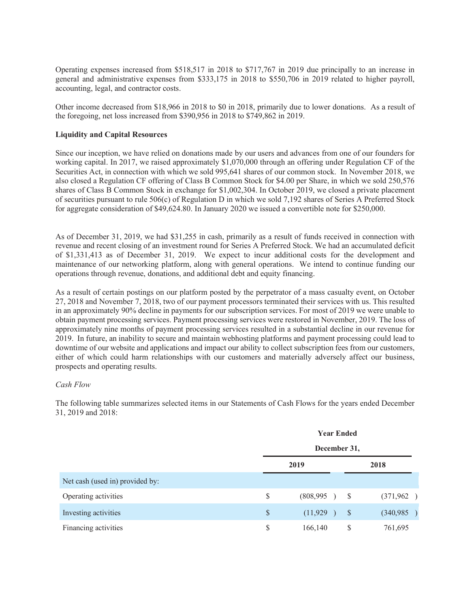Operating expenses increased from  $$518,517$  in 2018 to  $$717,767$  in 2019 due principally to an increase in general and administrative expenses from \$333,175 in 2018 to \$550,706 in 2019 related to higher payroll, accounting, legal, and contractor costs.

Other income decreased from \$18,966 in 2018 to \$0 in 2018, primarily due to lower donations. As a result of the foregoing, net loss increased from \$390,956 in 2018 to \$749,862 in 2019.

# **Liquidity and Capital Resources**

Since our inception, we have relied on donations made by our users and advances from one of our founders for working capital. In 2017, we raised approximately \$1,070,000 through an offering under Regulation CF of the Securities Act, in connection with which we sold 995,641 shares of our common stock. In November 2018, we also closed a Regulation CF offering of Class B Common Stock for \$4.00 per Share, in which we sold 250,576 shares of Class B Common Stock in exchange for \$1,002,304. In October 2019, we closed a private placement of securities pursuant to rule  $506(c)$  of Regulation D in which we sold 7,192 shares of Series A Preferred Stock for aggregate consideration of  $$49,624.80$ . In January 2020 we issued a convertible note for  $$250,000$ .

As of December 31, 2019, we had \$31,255 in cash, primarily as a result of funds received in connection with revenue and recent closing of an investment round for Series A Preferred Stock. We had an accumulated deficit of \$1,331,413 as of December 31, 2019. We expect to incur additional costs for the development and maintenance of our networking platform, along with general operations. We intend to continue funding our operations through revenue, donations, and additional debt and equity financing.

As a result of certain postings on our platform posted by the perpetrator of a mass casualty event, on October 27, 2018 and November 7, 2018, two of our payment processors terminated their services with us. This resulted in an approximately 90% decline in payments for our subscription services. For most of 2019 we were unable to obtain payment processing services. Payment processing services were restored in November, 2019. The loss of approximately nine months of payment processing services resulted in a substantial decline in our revenue for 2019. In future, an inability to secure and maintain webhosting platforms and payment processing could lead to downtime of our website and applications and impact our ability to collect subscription fees from our customers, either of which could harm relationships with our customers and materially adversely affect our business, prospects and operating results.

### **Cash Flow**

The following table summarizes selected items in our Statements of Cash Flows for the years ended December 31, 2019 and 2018:

|                                 |    | <b>Year Ended</b><br>December 31, |              |           |  |  |  |
|---------------------------------|----|-----------------------------------|--------------|-----------|--|--|--|
|                                 |    |                                   |              |           |  |  |  |
|                                 |    | 2019                              |              | 2018      |  |  |  |
| Net cash (used in) provided by: |    |                                   |              |           |  |  |  |
| Operating activities            | \$ | (808, 995)                        | <sup>S</sup> | (371,962) |  |  |  |
| Investing activities            | \$ | (11, 929)                         | <sup>S</sup> | (340,985) |  |  |  |
| Financing activities            | \$ | 166,140                           | S            | 761,695   |  |  |  |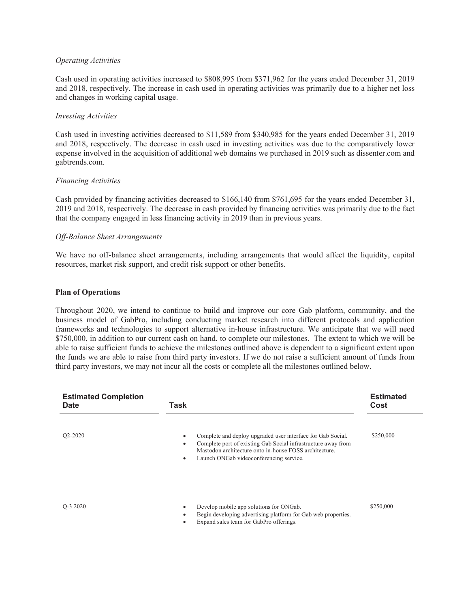### *<u>Operating</u> Activities*

Cash used in operating activities increased to \$808,995 from \$371,962 for the years ended December 31, 2019 and 2018, respectively. The increase in cash used in operating activities was primarily due to a higher net loss and changes in working capital usage.

### **Investing Activities**

Cash used in investing activities decreased to \$11,589 from \$340,985 for the years ended December 31, 2019 and 2018, respectively. The decrease in cash used in investing activities was due to the comparatively lower expense involved in the acquisition of additional web domains we purchased in 2019 such as dissenter.com and gabtrends.com.

### **Financing Activities**

Cash provided by financing activities decreased to  $$166,140$  from  $$761,695$  for the years ended December 31, 2019 and 2018, respectively. The decrease in cash provided by financing activities was primarily due to the fact that the company engaged in less financing activity in 2019 than in previous years.

### **Off-Balance Sheet Arrangements**

We have no off-balance sheet arrangements, including arrangements that would affect the liquidity, capital resources, market risk support, and credit risk support or other benefits.

### **Plan of Operations**

Throughout 2020, we intend to continue to build and improve our core Gab platform, community, and the business model of GabPro, including conducting market research into different protocols and application frameworks and technologies to support alternative in-house infrastructure. We anticipate that we will need \$750,000, in addition to our current cash on hand, to complete our milestones. The extent to which we will be able to raise sufficient funds to achieve the milestones outlined above is dependent to a significant extent upon the funds we are able to raise from third party investors. If we do not raise a sufficient amount of funds from third party investors, we may not incur all the costs or complete all the milestones outlined below.

| <b>Estimated Completion</b><br><b>Date</b> | Task                                                                                                                                                                                                                                                                     | <b>Estimated</b><br>Cost |
|--------------------------------------------|--------------------------------------------------------------------------------------------------------------------------------------------------------------------------------------------------------------------------------------------------------------------------|--------------------------|
| Q <sub>2</sub> -20 <sub>20</sub>           | Complete and deploy upgraded user interface for Gab Social.<br>$\bullet$<br>Complete port of existing Gab Social infrastructure away from<br>$\bullet$<br>Mastodon architecture onto in-house FOSS architecture.<br>Launch ONGab videoconferencing service.<br>$\bullet$ | \$250,000                |
| O-3 2020                                   | Develop mobile app solutions for ONGab.<br>Begin developing advertising platform for Gab web properties.<br>Expand sales team for GabPro offerings.                                                                                                                      | \$250,000                |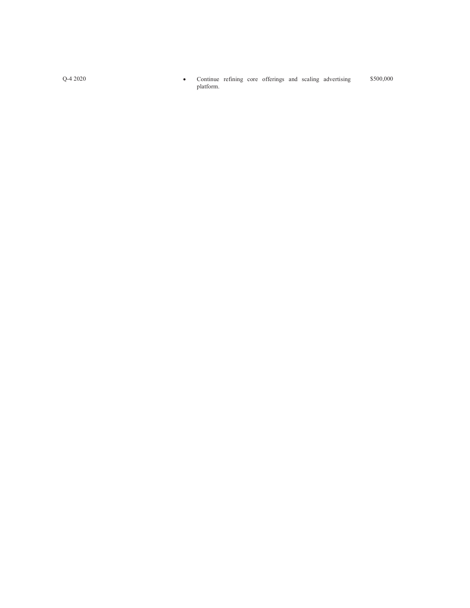\$500,000 Continue refining core offerings and scaling advertising  $\bullet$ platform.

 $Q - 42020$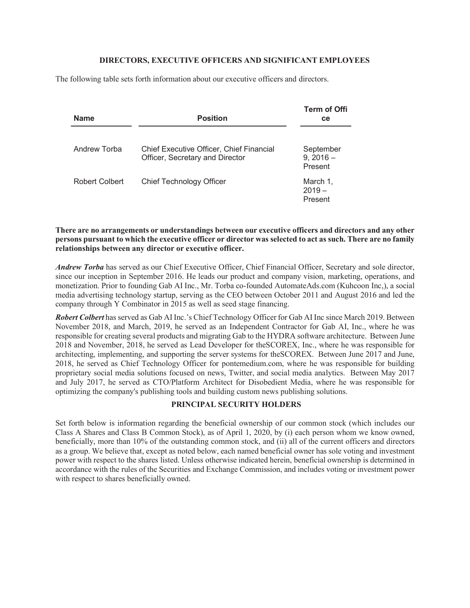### **DIRECTORS, EXECUTIVE OFFICERS AND SIGNIFICANT EMPLOYEES**

The following table sets forth information about our executive officers and directors.

| <b>Name</b>    | <b>Position</b>                                                                    | <b>Term of Offi</b><br><b>ce</b>  |
|----------------|------------------------------------------------------------------------------------|-----------------------------------|
|                |                                                                                    |                                   |
| Andrew Torba   | <b>Chief Executive Officer, Chief Financial</b><br>Officer, Secretary and Director | September<br>$9,2016-$<br>Present |
| Robert Colbert | <b>Chief Technology Officer</b>                                                    | March 1,<br>$2019 -$<br>Present   |

There are no arrangements or understandings between our executive officers and directors and any other persons pursuant to which the executive officer or director was selected to act as such. There are no family relationships between any director or executive officer.

Andrew Torba has served as our Chief Executive Officer, Chief Financial Officer, Secretary and sole director, since our inception in September 2016. He leads our product and company vision, marketing, operations, and monetization. Prior to founding Gab AI Inc., Mr. Torba co-founded AutomateAds.com (Kuhcoon Inc,), a social media advertising technology startup, serving as the CEO between October 2011 and August 2016 and led the company through Y Combinator in 2015 as well as seed stage financing.

Robert Colbert has served as Gab AI Inc.'s Chief Technology Officer for Gab AI Inc since March 2019. Between November 2018, and March, 2019, he served as an Independent Contractor for Gab AI, Inc., where he was responsible for creating several products and migrating Gab to the HYDRA software architecture. Between June 2018 and November, 2018, he served as Lead Developer for the SCOREX, Inc., where he was responsible for architecting, implementing, and supporting the server systems for the SCOREX. Between June 2017 and June, 2018, he served as Chief Technology Officer for pontemedium.com, where he was responsible for building proprietary social media solutions focused on news, Twitter, and social media analytics. Between May 2017 and July 2017, he served as CTO/Platform Architect for Disobedient Media, where he was responsible for optimizing the company's publishing tools and building custom news publishing solutions.

# **PRINCIPAL SECURITY HOLDERS**

Set forth below is information regarding the beneficial ownership of our common stock (which includes our Class A Shares and Class B Common Stock), as of April 1, 2020, by (i) each person whom we know owned, beneficially, more than 10% of the outstanding common stock, and (ii) all of the current officers and directors as a group. We believe that, except as noted below, each named beneficial owner has sole voting and investment power with respect to the shares listed. Unless otherwise indicated herein, beneficial ownership is determined in accordance with the rules of the Securities and Exchange Commission, and includes voting or investment power with respect to shares beneficially owned.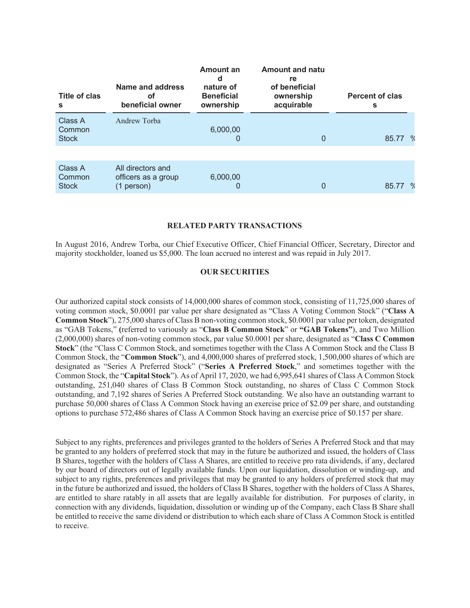| Title of clas<br>s                | Name and address<br>οf<br>beneficial owner             | Amount an<br>d<br>nature of<br><b>Beneficial</b><br>ownership | <b>Amount and natu</b><br>re<br>of beneficial<br>ownership<br>acquirable | <b>Percent of clas</b><br>s  |
|-----------------------------------|--------------------------------------------------------|---------------------------------------------------------------|--------------------------------------------------------------------------|------------------------------|
| Class A<br>Common<br><b>Stock</b> | Andrew Torba                                           | 6,000,00                                                      | 0                                                                        | 85.77<br>$^{\circ}$          |
|                                   |                                                        |                                                               |                                                                          |                              |
| Class A<br>Common<br><b>Stock</b> | All directors and<br>officers as a group<br>(1 person) | 6,000,00                                                      | 0                                                                        | $\mathbf{o}_{\ell}$<br>85.77 |

### **RELATED PARTY TRANSACTIONS**

In August 2016, Andrew Torba, our Chief Executive Officer, Chief Financial Officer, Secretary, Director and majority stockholder, loaned us \$5,000. The loan accrued no interest and was repaid in July 2017.

## **OUR SECURITIES**

Our authorized capital stock consists of  $14,000,000$  shares of common stock, consisting of  $11,725,000$  shares of voting common stock, \$0.0001 par value per share designated as "Class A Voting Common Stock" ("Class A **Common Stock**"), 275,000 shares of Class B non-voting common stock, \$0.0001 par value per token, designated as "GAB Tokens," (referred to variously as "Class B Common Stock" or "GAB Tokens"), and Two Million  $(2,000,000)$  shares of non-voting common stock, par value \$0.0001 per share, designated as "Class C Common" **Stock**" (the "Class C Common Stock, and sometimes together with the Class A Common Stock and the Class B Common Stock, the "Common Stock"), and 4,000,000 shares of preferred stock, 1,500,000 shares of which are designated as "Series A Preferred Stock" ("Series A Preferred Stock," and sometimes together with the Common Stock, the "Capital Stock"). As of April 17, 2020, we had 6,995,641 shares of Class A Common Stock outstanding, 251,040 shares of Class B Common Stock outstanding, no shares of Class C Common Stock outstanding, and 7,192 shares of Series A Preferred Stock outstanding. We also have an outstanding warrant to purchase 50,000 shares of Class A Common Stock having an exercise price of \$2.09 per share, and outstanding options to purchase 572,486 shares of Class A Common Stock having an exercise price of \$0.157 per share.

Subject to any rights, preferences and privileges granted to the holders of Series A Preferred Stock and that may be granted to any holders of preferred stock that may in the future be authorized and issued, the holders of Class B Shares, together with the holders of Class A Shares, are entitled to receive pro rata dividends, if any, declared by our board of directors out of legally available funds. Upon our liquidation, dissolution or winding-up, and subject to any rights, preferences and privileges that may be granted to any holders of preferred stock that may in the future be authorized and issued, the holders of Class B Shares, together with the holders of Class A Shares, are entitled to share ratably in all assets that are legally available for distribution. For purposes of clarity, in connection with any dividends, liquidation, dissolution or winding up of the Company, each Class B Share shall be entitled to receive the same dividend or distribution to which each share of Class A Common Stock is entitled to receive.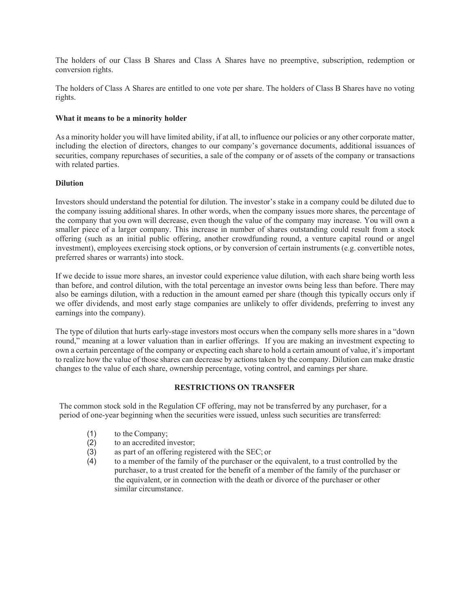The holders of our Class B Shares and Class A Shares have no preemptive, subscription, redemption or conversion rights.

The holders of Class A Shares are entitled to one vote per share. The holders of Class B Shares have no voting rights.

### **What it means to be a minority holder**

As a minority holder you will have limited ability, if at all, to influence our policies or any other corporate matter, including the election of directors, changes to our company's governance documents, additional issuances of securities, company repurchases of securities, a sale of the company or of assets of the company or transactions with related parties.

# $Dilution$

Investors should understand the potential for dilution. The investor's stake in a company could be diluted due to the company issuing additional shares. In other words, when the company issues more shares, the percentage of the company that you own will decrease, even though the value of the company may increase. You will own a smaller piece of a larger company. This increase in number of shares outstanding could result from a stock offering (such as an initial public offering, another crowdfunding round, a venture capital round or angel investment), employees exercising stock options, or by conversion of certain instruments (e.g. convertible notes, preferred shares or warrants) into stock.

If we decide to issue more shares, an investor could experience value dilution, with each share being worth less than before, and control dilution, with the total percentage an investor owns being less than before. There may also be earnings dilution, with a reduction in the amount earned per share (though this typically occurs only if we offer dividends, and most early stage companies are unlikely to offer dividends, preferring to invest any earnings into the company).

The type of dilution that hurts early-stage investors most occurs when the company sells more shares in a "down" round," meaning at a lower valuation than in earlier offerings. If you are making an investment expecting to own a certain percentage of the company or expecting each share to hold a certain amount of value, it's important to realize how the value of those shares can decrease by actions taken by the company. Dilution can make drastic changes to the value of each share, ownership percentage, voting control, and earnings per share.

# **RESTRICTIONS ON TRANSFER**

The common stock sold in the Regulation CF offering, may not be transferred by any purchaser, for a period of one-year beginning when the securities were issued, unless such securities are transferred:

- $(1)$  to the Company;
- $(2)$  to an accredited investor;
- $(3)$ as part of an offering registered with the SEC; or
- $(4)$  to a member of the family of the purchaser or the equivalent, to a trust controlled by the purchaser, to a trust created for the benefit of a member of the family of the purchaser or the equivalent, or in connection with the death or divorce of the purchaser or other similar circumstance.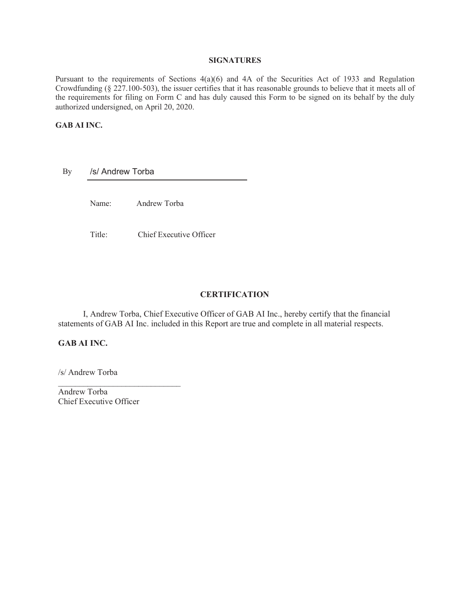# **SIGNATURES**

Pursuant to the requirements of Sections  $4(a)(6)$  and  $4A$  of the Securities Act of 1933 and Regulation Crowdfunding ( $\S$  227.100-503), the issuer certifies that it has reasonable grounds to believe that it meets all of the requirements for filing on Form C and has duly caused this Form to be signed on its behalf by the duly authorized undersigned, on April 20, 2020.

# **GAB AI INC.**

By s/ Andrew Torba

Name: Andrew Torba

Title: Chief Executive Officer

# **CERTIFICATION**

I, Andrew Torba, Chief Executive Officer of GAB AI Inc., hereby certify that the financial statements of GAB AI Inc. included in this Report are true and complete in all material respects.

### **GAB AI INC.**

/s/ Andrew Torba

Andrew Torba Chief Executive Officer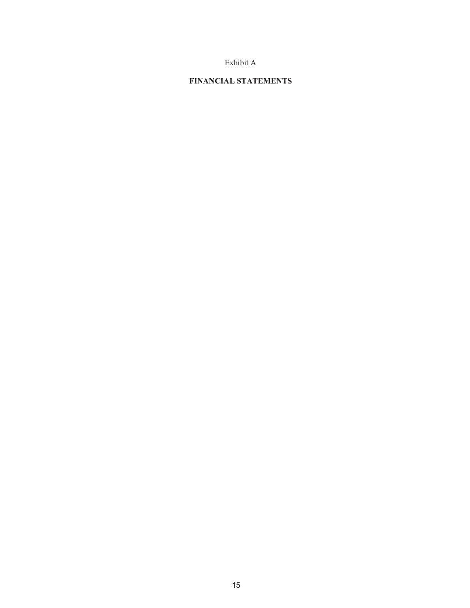# Exhibit A

### **FINANCIAL STATEMENTS**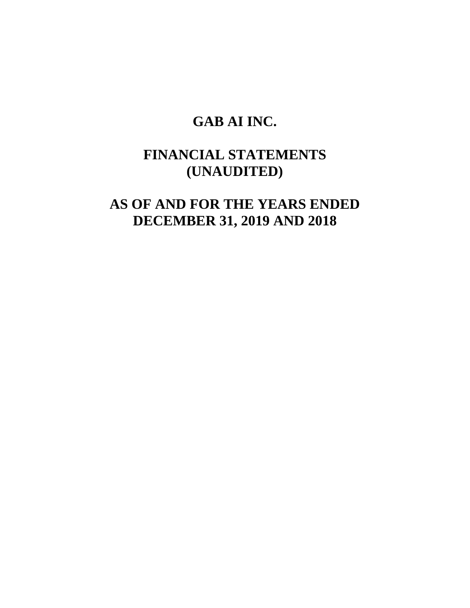# **GAB AI INC.**

# **FINANCIAL STATEMENTS (UNAUDITED)**

**AS OF AND FOR THE YEARS ENDED DECEMBER 31, 2019 AND 2018**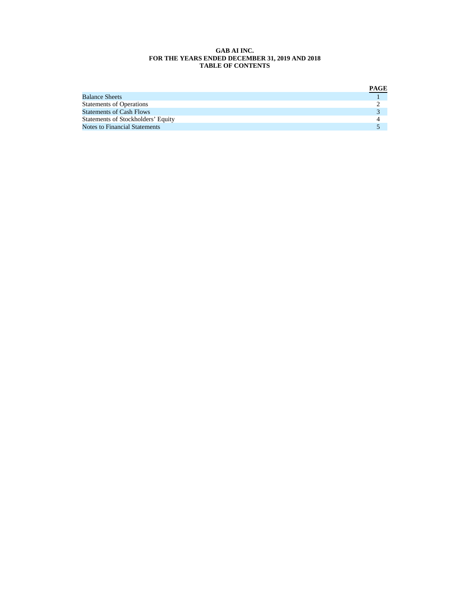#### **GAB AI INC. FOR THE YEARS ENDED DECEMBER 31, 2019 AND 2018 TABLE OF CONTENTS**

|                                      | PAGE |
|--------------------------------------|------|
| <b>Balance Sheets</b>                |      |
| <b>Statements of Operations</b>      |      |
| <b>Statements of Cash Flows</b>      |      |
| Statements of Stockholders' Equity   |      |
| <b>Notes to Financial Statements</b> |      |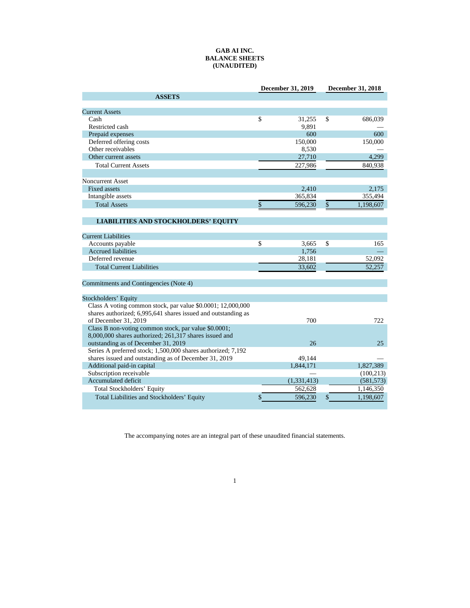#### **GAB AI INC. BALANCE SHEETS (UNAUDITED)**

|                                                               | <b>December 31, 2019</b> | December 31, 2018 |            |  |
|---------------------------------------------------------------|--------------------------|-------------------|------------|--|
| <b>ASSETS</b>                                                 |                          |                   |            |  |
|                                                               |                          |                   |            |  |
| <b>Current Assets</b>                                         |                          |                   |            |  |
| Cash                                                          | \$<br>31,255             | \$                | 686,039    |  |
| Restricted cash                                               | 9.891                    |                   |            |  |
| Prepaid expenses                                              | 600                      |                   | 600        |  |
| Deferred offering costs                                       | 150,000                  |                   | 150,000    |  |
| Other receivables                                             | 8,530                    |                   |            |  |
| Other current assets                                          | 27,710                   |                   | 4.299      |  |
| <b>Total Current Assets</b>                                   | 227,986                  |                   | 840,938    |  |
|                                                               |                          |                   |            |  |
| <b>Noncurrent Asset</b>                                       |                          |                   |            |  |
| Fixed assets                                                  | 2,410                    |                   | 2,175      |  |
| Intangible assets                                             | 365,834                  |                   | 355,494    |  |
| <b>Total Assets</b>                                           | \$<br>596,230            | \$                | 1,198,607  |  |
|                                                               |                          |                   |            |  |
| <b>LIABILITIES AND STOCKHOLDERS' EQUITY</b>                   |                          |                   |            |  |
|                                                               |                          |                   |            |  |
| <b>Current Liabilities</b>                                    |                          |                   |            |  |
| Accounts payable                                              | \$<br>3,665              | \$                | 165        |  |
| <b>Accrued liabilities</b>                                    | 1,756                    |                   |            |  |
| Deferred revenue                                              | 28,181                   |                   | 52,092     |  |
| <b>Total Current Liabilities</b>                              | 33,602                   |                   | 52,257     |  |
|                                                               |                          |                   |            |  |
| Commitments and Contingencies (Note 4)                        |                          |                   |            |  |
|                                                               |                          |                   |            |  |
| Stockholders' Equity                                          |                          |                   |            |  |
| Class A voting common stock, par value \$0.0001; 12,000,000   |                          |                   |            |  |
| shares authorized; 6,995,641 shares issued and outstanding as |                          |                   |            |  |
| of December 31, 2019                                          | 700                      |                   | 722        |  |
| Class B non-voting common stock, par value \$0.0001;          |                          |                   |            |  |
| 8,000,000 shares authorized; 261,317 shares issued and        |                          |                   |            |  |
| outstanding as of December 31, 2019                           | 26                       |                   | 25         |  |
| Series A preferred stock; 1,500,000 shares authorized; 7,192  |                          |                   |            |  |
| shares issued and outstanding as of December 31, 2019         | 49,144                   |                   |            |  |
| Additional paid-in capital                                    | 1,844,171                |                   | 1,827,389  |  |
| Subscription receivable                                       |                          |                   | (100, 213) |  |
| Accumulated deficit                                           | (1,331,413)              |                   | (581, 573) |  |
| Total Stockholders' Equity                                    | 562,628                  |                   | 1,146,350  |  |
| Total Liabilities and Stockholders' Equity                    | \$<br>596,230            | \$                | 1,198,607  |  |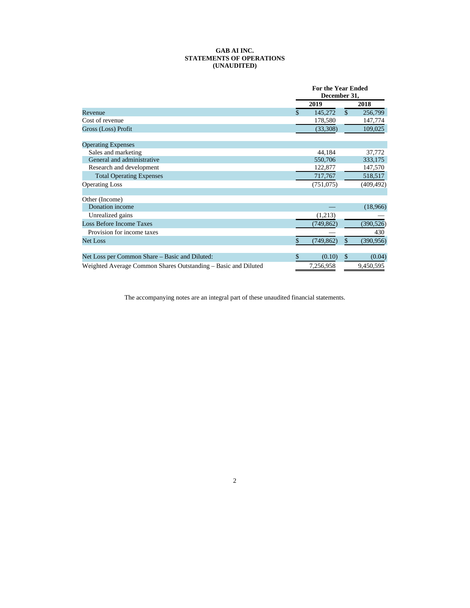#### **GAB AI INC. STATEMENTS OF OPERATIONS (UNAUDITED)**

|                                                                | <b>For the Year Ended</b><br>December 31, |            |               |            |
|----------------------------------------------------------------|-------------------------------------------|------------|---------------|------------|
|                                                                |                                           | 2019       |               | 2018       |
| Revenue                                                        | \$                                        | 145,272    | $\mathcal{S}$ | 256,799    |
| Cost of revenue                                                |                                           | 178,580    |               | 147,774    |
| Gross (Loss) Profit                                            |                                           | (33,308)   |               | 109,025    |
| <b>Operating Expenses</b>                                      |                                           |            |               |            |
| Sales and marketing                                            |                                           | 44,184     |               | 37,772     |
| General and administrative                                     |                                           | 550,706    |               | 333,175    |
| Research and development                                       |                                           | 122,877    |               | 147,570    |
| <b>Total Operating Expenses</b>                                |                                           | 717,767    |               | 518,517    |
| <b>Operating Loss</b>                                          |                                           | (751, 075) |               | (409, 492) |
| Other (Income)                                                 |                                           |            |               |            |
| Donation income                                                |                                           |            |               | (18,966)   |
| Unrealized gains                                               |                                           | (1,213)    |               |            |
| <b>Loss Before Income Taxes</b>                                |                                           | (749, 862) |               | (390, 526) |
| Provision for income taxes                                     |                                           |            |               | 430        |
| Net Loss                                                       | S                                         | (749,862)  | S             | (390, 956) |
| Net Loss per Common Share - Basic and Diluted:                 | \$                                        | (0.10)     | \$            | (0.04)     |
| Weighted Average Common Shares Outstanding – Basic and Diluted |                                           | 7,256,958  |               | 9,450,595  |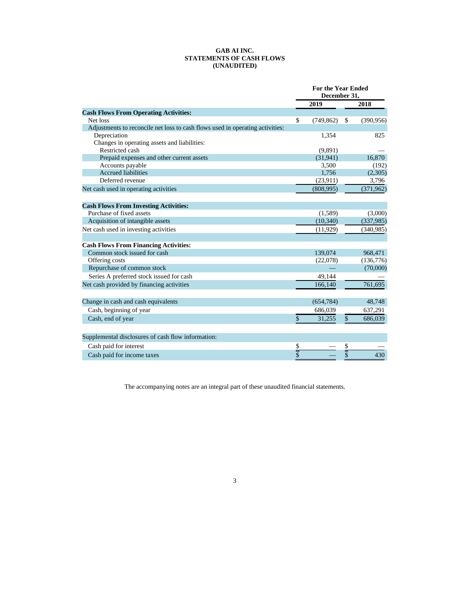#### **GAB AI INC. STATEMENTS OF CASH FLOWS (UNAUDITED)**

|                                                                               | <b>For the Year Ended</b><br>December 31, |            |               |            |
|-------------------------------------------------------------------------------|-------------------------------------------|------------|---------------|------------|
|                                                                               |                                           | 2019       |               | 2018       |
| <b>Cash Flows From Operating Activities:</b>                                  |                                           |            |               |            |
| Net loss                                                                      | $\mathbf S$                               | (749, 862) | \$            | (390, 956) |
| Adjustments to reconcile net loss to cash flows used in operating activities: |                                           |            |               |            |
| Depreciation                                                                  |                                           | 1,354      |               | 825        |
| Changes in operating assets and liabilities:                                  |                                           |            |               |            |
| Restricted cash                                                               |                                           | (9,891)    |               |            |
| Prepaid expenses and other current assets                                     |                                           | (31,941)   |               | 16,870     |
| Accounts payable                                                              |                                           | 3.500      |               | (192)      |
| <b>Accrued liabilities</b>                                                    |                                           | 1,756      |               | (2,305)    |
| Deferred revenue                                                              |                                           | (23,911)   |               | 3,796      |
| Net cash used in operating activities                                         |                                           | (808,995)  |               | (371,962)  |
| <b>Cash Flows From Investing Activities:</b>                                  |                                           |            |               |            |
| Purchase of fixed assets                                                      |                                           | (1,589)    |               | (3,000)    |
| Acquisition of intangible assets                                              |                                           | (10, 340)  |               | (337,985)  |
| Net cash used in investing activities                                         |                                           | (11, 929)  |               | (340,985)  |
| <b>Cash Flows From Financing Activities:</b>                                  |                                           |            |               |            |
| Common stock issued for cash                                                  |                                           | 139,074    |               | 968,471    |
| Offering costs                                                                |                                           | (22,078)   |               | (136,776)  |
| Repurchase of common stock                                                    |                                           |            |               | (70,000)   |
| Series A preferred stock issued for cash                                      |                                           | 49.144     |               |            |
| Net cash provided by financing activities                                     |                                           | 166,140    |               | 761,695    |
|                                                                               |                                           |            |               |            |
| Change in cash and cash equivalents                                           |                                           | (654, 784) |               | 48,748     |
| Cash, beginning of year                                                       |                                           | 686,039    |               | 637,291    |
| Cash, end of year                                                             | \$                                        | 31,255     | $\mathcal{S}$ | 686,039    |
| Supplemental disclosures of cash flow information:                            |                                           |            |               |            |
| Cash paid for interest                                                        |                                           |            |               |            |
|                                                                               | <u>Տ</u><br>Տ                             |            | \$            |            |
| Cash paid for income taxes                                                    |                                           |            | \$            | 430        |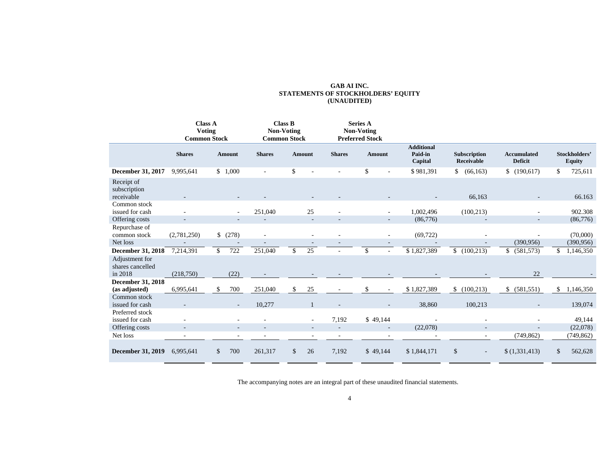# **GAB AI INC. STATEMENTS OF STOCKHOLDERS' EQUITY (UNAUDITED)**

|                                               |                          | <b>Class A</b><br><b>Voting</b><br><b>Common Stock</b> |                          | <b>Class B</b><br><b>Non-Voting</b><br><b>Common Stock</b> |                                                      | <b>Series A</b><br>Non-Voting<br><b>Preferred Stock</b> |                                         |                                   |                                      |                                |
|-----------------------------------------------|--------------------------|--------------------------------------------------------|--------------------------|------------------------------------------------------------|------------------------------------------------------|---------------------------------------------------------|-----------------------------------------|-----------------------------------|--------------------------------------|--------------------------------|
|                                               | <b>Shares</b>            | <b>Amount</b>                                          | <b>Shares</b>            | <b>Amount</b>                                              | <b>Shares</b>                                        | <b>Amount</b>                                           | <b>Additional</b><br>Paid-in<br>Capital | <b>Subscription</b><br>Receivable | <b>Accumulated</b><br><b>Deficit</b> | Stockholders'<br><b>Equity</b> |
| <b>December 31, 2017</b>                      | 9,995,641                | \$1,000                                                |                          | \$                                                         |                                                      | \$                                                      | \$981,391                               | (66, 163)<br>\$                   | (190,617)<br>\$                      | \$<br>725,611                  |
| Receipt of<br>subscription<br>receivable      |                          |                                                        |                          |                                                            |                                                      |                                                         |                                         | 66,163                            |                                      | 66.163                         |
| Common stock<br>issued for cash               |                          |                                                        | 251,040                  |                                                            | 25                                                   |                                                         | 1,002,496                               | (100, 213)                        |                                      | 902.308                        |
| Offering costs                                |                          |                                                        |                          |                                                            | $\sim$                                               |                                                         | (86,776)                                | $\overline{\phantom{0}}$          | $\overline{\phantom{a}}$             | (86,776)                       |
| Repurchase of<br>common stock                 | (2,781,250)              | \$ (278)                                               | $\sim$                   |                                                            | $\sim$                                               |                                                         | (69, 722)<br>$\sim$                     |                                   |                                      | (70,000)                       |
| Net loss                                      |                          |                                                        |                          |                                                            |                                                      |                                                         |                                         |                                   | (390, 956)                           | (390, 956)                     |
| <b>December 31, 2018</b>                      | 7,214,391                | 722<br>\$                                              | 251,040                  | \$                                                         | 25                                                   | $\mathbb{S}$                                            | \$1,827,389                             | (100, 213)                        | \$<br>(581, 573)                     | \$<br>1,146,350                |
| Adjustment for<br>shares cancelled<br>in 2018 | (218,750)                | (22)                                                   |                          |                                                            |                                                      |                                                         |                                         |                                   | 22                                   |                                |
| <b>December 31, 2018</b>                      |                          |                                                        |                          |                                                            |                                                      |                                                         |                                         |                                   |                                      |                                |
| (as adjusted)                                 | 6,995,641                | \$<br>700                                              | 251,040                  | \$                                                         | 25                                                   | \$                                                      | \$1,827,389                             | \$<br>(100, 213)                  | \$<br>(581, 551)                     | \$<br>1,146,350                |
| Common stock<br>issued for cash               |                          |                                                        | 10,277                   |                                                            |                                                      |                                                         | 38,860                                  | 100,213                           |                                      | 139,074                        |
| Preferred stock<br>issued for cash            |                          |                                                        |                          |                                                            | 7,192                                                | \$49,144                                                |                                         |                                   |                                      | 49,144                         |
| Offering costs                                | $\overline{\phantom{a}}$ | $\overline{\phantom{a}}$                               | $\overline{\phantom{a}}$ |                                                            | $\overline{\phantom{a}}$<br>$\overline{\phantom{a}}$ |                                                         | (22,078)<br>$\overline{\phantom{a}}$    | $\overline{\phantom{a}}$          |                                      | (22,078)                       |
| Net loss                                      |                          | $\overline{\phantom{a}}$                               |                          |                                                            | ٠                                                    |                                                         |                                         | $\overline{\phantom{a}}$          | (749, 862)                           | (749, 862)                     |
| <b>December 31, 2019</b>                      | 6,995,641                | 700<br>\$                                              | 261,317                  | \$                                                         | 7,192<br>26                                          | \$49,144                                                | \$1,844,171                             | \$<br>۰                           | \$(1,331,413)                        | \$<br>562,628                  |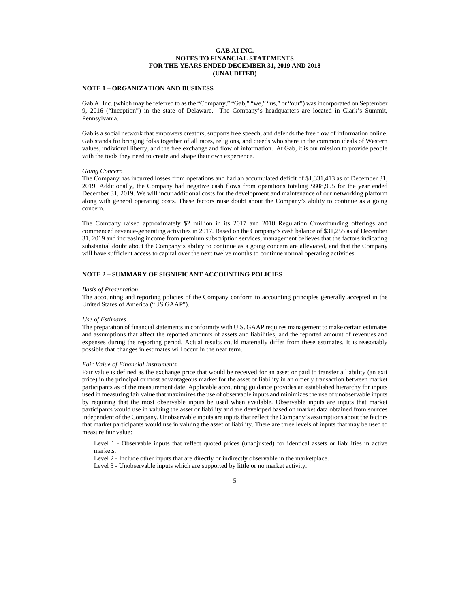#### **GAB AI INC. NOTES TO FINANCIAL STATEMENTS FOR THE YEARS ENDED DECEMBER 31, 2019 AND 2018 (UNAUDITED)**

### **NOTE 1 – ORGANIZATION AND BUSINESS**

Gab AI Inc. (which may be referred to as the "Company," "Gab," "we," "us," or "our") was incorporated on September 9, 2016 ("Inception") in the state of Delaware. The Company's headquarters are located in Clark's Summit, Pennsylvania.

Gab is a social network that empowers creators, supports free speech, and defends the free flow of information online. Gab stands for bringing folks together of all races, religions, and creeds who share in the common ideals of Western values, individual liberty, and the free exchange and flow of information. At Gab, it is our mission to provide people with the tools they need to create and shape their own experience.

#### *Going Concern*

The Company has incurred losses from operations and had an accumulated deficit of \$1,331,413 as of December 31, 2019. Additionally, the Company had negative cash flows from operations totaling \$808,995 for the year ended December 31, 2019. We will incur additional costs for the development and maintenance of our networking platform along with general operating costs. These factors raise doubt about the Company's ability to continue as a going concern.

The Company raised approximately \$2 million in its 2017 and 2018 Regulation Crowdfunding offerings and commenced revenue-generating activities in 2017. Based on the Company's cash balance of \$31,255 as of December 31, 2019 and increasing income from premium subscription services, management believes that the factors indicating substantial doubt about the Company's ability to continue as a going concern are alleviated, and that the Company will have sufficient access to capital over the next twelve months to continue normal operating activities.

### **NOTE 2 – SUMMARY OF SIGNIFICANT ACCOUNTING POLICIES**

#### *Basis of Presentation*

The accounting and reporting policies of the Company conform to accounting principles generally accepted in the United States of America ("US GAAP").

#### *Use of Estimates*

The preparation of financial statements in conformity with U.S. GAAP requires management to make certain estimates and assumptions that affect the reported amounts of assets and liabilities, and the reported amount of revenues and expenses during the reporting period. Actual results could materially differ from these estimates. It is reasonably possible that changes in estimates will occur in the near term.

#### *Fair Value of Financial Instruments*

Fair value is defined as the exchange price that would be received for an asset or paid to transfer a liability (an exit price) in the principal or most advantageous market for the asset or liability in an orderly transaction between market participants as of the measurement date. Applicable accounting guidance provides an established hierarchy for inputs used in measuring fair value that maximizes the use of observable inputs and minimizes the use of unobservable inputs by requiring that the most observable inputs be used when available. Observable inputs are inputs that market participants would use in valuing the asset or liability and are developed based on market data obtained from sources independent of the Company. Unobservable inputs are inputs that reflect the Company's assumptions about the factors that market participants would use in valuing the asset or liability. There are three levels of inputs that may be used to measure fair value:

Level 1 - Observable inputs that reflect quoted prices (unadjusted) for identical assets or liabilities in active markets.

Level 2 - Include other inputs that are directly or indirectly observable in the marketplace.

Level 3 - Unobservable inputs which are supported by little or no market activity.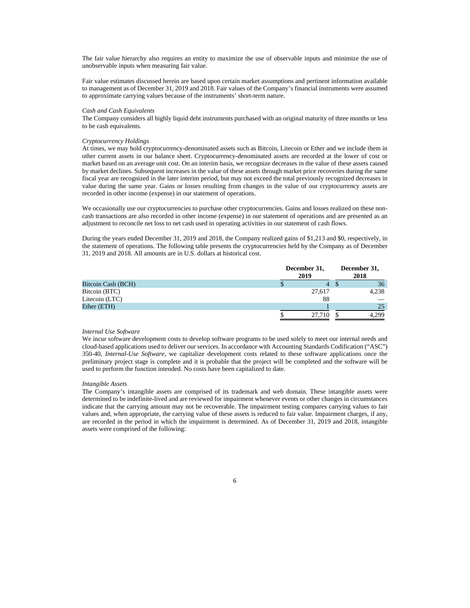The fair value hierarchy also requires an entity to maximize the use of observable inputs and minimize the use of unobservable inputs when measuring fair value.

Fair value estimates discussed herein are based upon certain market assumptions and pertinent information available to management as of December 31, 2019 and 2018. Fair values of the Company's financial instruments were assumed to approximate carrying values because of the instruments' short-term nature.

#### *Cash and Cash Equivalents*

The Company considers all highly liquid debt instruments purchased with an original maturity of three months or less to be cash equivalents.

#### *Cryptocurrency Holdings*

At times, we may hold cryptocurrency-denominated assets such as Bitcoin, Litecoin or Ether and we include them in other current assets in our balance sheet. Cryptocurrency-denominated assets are recorded at the lower of cost or market based on an average unit cost. On an interim basis, we recognize decreases in the value of these assets caused by market declines. Subsequent increases in the value of these assets through market price recoveries during the same fiscal year are recognized in the later interim period, but may not exceed the total previously recognized decreases in value during the same year. Gains or losses resulting from changes in the value of our cryptocurrency assets are recorded in other income (expense) in our statement of operations.

We occasionally use our cryptocurrencies to purchase other cryptocurrencies. Gains and losses realized on these noncash transactions are also recorded in other income (expense) in our statement of operations and are presented as an adjustment to reconcile net loss to net cash used in operating activities in our statement of cash flows.

During the years ended December 31, 2019 and 2018, the Company realized gains of \$1,213 and \$0, respectively, in the statement of operations. The following table presents the cryptocurrencies held by the Company as of December 31, 2019 and 2018. All amounts are in U.S. dollars at historical cost.

|                    | December 31,<br>2019 |    | December 31,<br>2018 |  |  |
|--------------------|----------------------|----|----------------------|--|--|
| Bitcoin Cash (BCH) |                      | 4  | 36                   |  |  |
| Bitcoin (BTC)      | 27,617               |    | 4,238                |  |  |
| Litecoin (LTC)     |                      | 88 |                      |  |  |
| Ether (ETH)        |                      |    | 25                   |  |  |
|                    | 27,710               |    | 4.299                |  |  |

#### *Internal Use Software*

We incur software development costs to develop software programs to be used solely to meet our internal needs and cloud-based applications used to deliver our services. In accordance with Accounting Standards Codification ("ASC") 350-40, *Internal-Use Software*, we capitalize development costs related to these software applications once the preliminary project stage is complete and it is probable that the project will be completed and the software will be used to perform the function intended. No costs have been capitalized to date.

#### *Intangible Assets*

The Company's intangible assets are comprised of its trademark and web domain. These intangible assets were determined to be indefinite-lived and are reviewed for impairment whenever events or other changes in circumstances indicate that the carrying amount may not be recoverable. The impairment testing compares carrying values to fair values and, when appropriate, the carrying value of these assets is reduced to fair value. Impairment charges, if any, are recorded in the period in which the impairment is determined. As of December 31, 2019 and 2018, intangible assets were comprised of the following: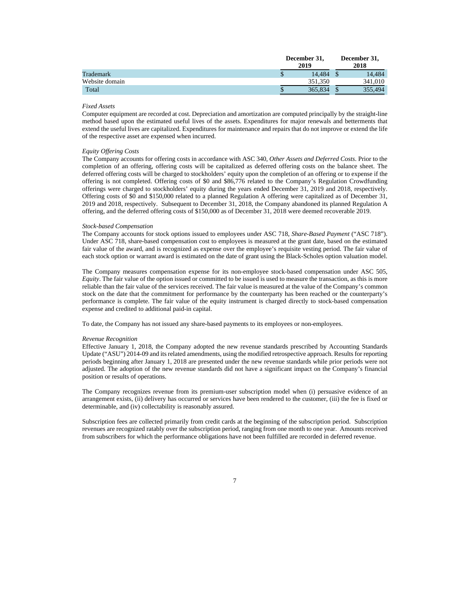|                | December 31,<br>2019 |         |  | December 31,<br>2018 |  |  |
|----------------|----------------------|---------|--|----------------------|--|--|
| Trademark      | ۰D                   | 14.484  |  | 14.484               |  |  |
| Website domain |                      | 351.350 |  | 341,010              |  |  |
| Total          |                      | 365,834 |  | 355,494              |  |  |

### *Fixed Assets*

Computer equipment are recorded at cost. Depreciation and amortization are computed principally by the straight-line method based upon the estimated useful lives of the assets. Expenditures for major renewals and betterments that extend the useful lives are capitalized. Expenditures for maintenance and repairs that do not improve or extend the life of the respective asset are expensed when incurred.

#### *Equity Offering Costs*

The Company accounts for offering costs in accordance with ASC 340, *Other Assets and Deferred Costs*. Prior to the completion of an offering, offering costs will be capitalized as deferred offering costs on the balance sheet. The deferred offering costs will be charged to stockholders' equity upon the completion of an offering or to expense if the offering is not completed. Offering costs of \$0 and \$86,776 related to the Company's Regulation Crowdfunding offerings were charged to stockholders' equity during the years ended December 31, 2019 and 2018, respectively. Offering costs of \$0 and \$150,000 related to a planned Regulation A offering were capitalized as of December 31, 2019 and 2018, respectively. Subsequent to December 31, 2018, the Company abandoned its planned Regulation A offering, and the deferred offering costs of \$150,000 as of December 31, 2018 were deemed recoverable 2019.

#### *Stock-based Compensation*

The Company accounts for stock options issued to employees under ASC 718, *Share-Based Payment* ("ASC 718"). Under ASC 718, share-based compensation cost to employees is measured at the grant date, based on the estimated fair value of the award, and is recognized as expense over the employee's requisite vesting period. The fair value of each stock option or warrant award is estimated on the date of grant using the Black-Scholes option valuation model.

The Company measures compensation expense for its non-employee stock-based compensation under ASC 505, *Equity*. The fair value of the option issued or committed to be issued is used to measure the transaction, as this is more reliable than the fair value of the services received. The fair value is measured at the value of the Company's common stock on the date that the commitment for performance by the counterparty has been reached or the counterparty's performance is complete. The fair value of the equity instrument is charged directly to stock-based compensation expense and credited to additional paid-in capital.

To date, the Company has not issued any share-based payments to its employees or non-employees.

#### *Revenue Recognition*

Effective January 1, 2018, the Company adopted the new revenue standards prescribed by Accounting Standards Update ("ASU") 2014-09 and its related amendments, using the modified retrospective approach. Results for reporting periods beginning after January 1, 2018 are presented under the new revenue standards while prior periods were not adjusted. The adoption of the new revenue standards did not have a significant impact on the Company's financial position or results of operations.

The Company recognizes revenue from its premium-user subscription model when (i) persuasive evidence of an arrangement exists, (ii) delivery has occurred or services have been rendered to the customer, (iii) the fee is fixed or determinable, and (iv) collectability is reasonably assured.

Subscription fees are collected primarily from credit cards at the beginning of the subscription period. Subscription revenues are recognized ratably over the subscription period, ranging from one month to one year. Amounts received from subscribers for which the performance obligations have not been fulfilled are recorded in deferred revenue.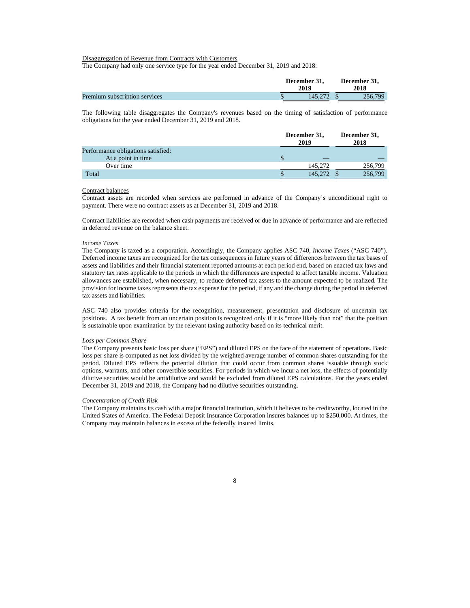#### Disaggregation of Revenue from Contracts with Customers

The Company had only one service type for the year ended December 31, 2019 and 2018:

|                               | December 31.<br>2019 | December 31.<br>2018 |  |  |
|-------------------------------|----------------------|----------------------|--|--|
| Premium subscription services | 145,272              | 256,799              |  |  |

The following table disaggregates the Company's revenues based on the timing of satisfaction of performance obligations for the year ended December 31, 2019 and 2018.

|                                    | December 31,<br>2019 |  | December 31,<br>2018 |  |
|------------------------------------|----------------------|--|----------------------|--|
| Performance obligations satisfied: |                      |  |                      |  |
| At a point in time                 | $-$                  |  |                      |  |
| Over time                          | 145,272              |  | 256,799              |  |
| Total                              | 145.272              |  | 256,799              |  |

#### Contract balances

Contract assets are recorded when services are performed in advance of the Company's unconditional right to payment. There were no contract assets as at December 31, 2019 and 2018.

Contract liabilities are recorded when cash payments are received or due in advance of performance and are reflected in deferred revenue on the balance sheet.

#### *Income Taxes*

The Company is taxed as a corporation. Accordingly, the Company applies ASC 740, *Income Taxes* ("ASC 740"). Deferred income taxes are recognized for the tax consequences in future years of differences between the tax bases of assets and liabilities and their financial statement reported amounts at each period end, based on enacted tax laws and statutory tax rates applicable to the periods in which the differences are expected to affect taxable income. Valuation allowances are established, when necessary, to reduce deferred tax assets to the amount expected to be realized. The provision for income taxes represents the tax expense for the period, if any and the change during the period in deferred tax assets and liabilities.

ASC 740 also provides criteria for the recognition, measurement, presentation and disclosure of uncertain tax positions. A tax benefit from an uncertain position is recognized only if it is "more likely than not" that the position is sustainable upon examination by the relevant taxing authority based on its technical merit.

#### *Loss per Common Share*

The Company presents basic loss per share ("EPS") and diluted EPS on the face of the statement of operations. Basic loss per share is computed as net loss divided by the weighted average number of common shares outstanding for the period. Diluted EPS reflects the potential dilution that could occur from common shares issuable through stock options, warrants, and other convertible securities. For periods in which we incur a net loss, the effects of potentially dilutive securities would be antidilutive and would be excluded from diluted EPS calculations. For the years ended December 31, 2019 and 2018, the Company had no dilutive securities outstanding.

#### *Concentration of Credit Risk*

The Company maintains its cash with a major financial institution, which it believes to be creditworthy, located in the United States of America. The Federal Deposit Insurance Corporation insures balances up to \$250,000. At times, the Company may maintain balances in excess of the federally insured limits.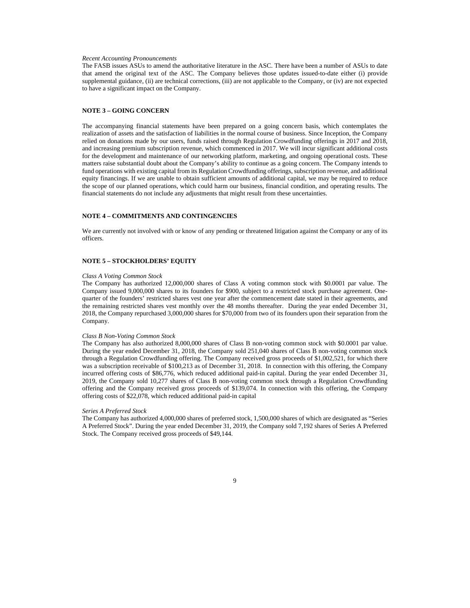#### *Recent Accounting Pronouncements*

The FASB issues ASUs to amend the authoritative literature in the ASC. There have been a number of ASUs to date that amend the original text of the ASC. The Company believes those updates issued-to-date either (i) provide supplemental guidance, (ii) are technical corrections, (iii) are not applicable to the Company, or (iv) are not expected to have a significant impact on the Company.

#### **NOTE 3 – GOING CONCERN**

The accompanying financial statements have been prepared on a going concern basis, which contemplates the realization of assets and the satisfaction of liabilities in the normal course of business. Since Inception, the Company relied on donations made by our users, funds raised through Regulation Crowdfunding offerings in 2017 and 2018, and increasing premium subscription revenue, which commenced in 2017. We will incur significant additional costs for the development and maintenance of our networking platform, marketing, and ongoing operational costs. These matters raise substantial doubt about the Company's ability to continue as a going concern. The Company intends to fund operations with existing capital from its Regulation Crowdfunding offerings, subscription revenue, and additional equity financings. If we are unable to obtain sufficient amounts of additional capital, we may be required to reduce the scope of our planned operations, which could harm our business, financial condition, and operating results. The financial statements do not include any adjustments that might result from these uncertainties.

#### **NOTE 4 – COMMITMENTS AND CONTINGENCIES**

We are currently not involved with or know of any pending or threatened litigation against the Company or any of its officers.

#### **NOTE 5 – STOCKHOLDERS' EQUITY**

#### *Class A Voting Common Stock*

The Company has authorized 12,000,000 shares of Class A voting common stock with \$0.0001 par value. The Company issued 9,000,000 shares to its founders for \$900, subject to a restricted stock purchase agreement. Onequarter of the founders' restricted shares vest one year after the commencement date stated in their agreements, and the remaining restricted shares vest monthly over the 48 months thereafter. During the year ended December 31, 2018, the Company repurchased 3,000,000 shares for \$70,000 from two of its founders upon their separation from the Company.

#### *Class B Non-Voting Common Stock*

The Company has also authorized 8,000,000 shares of Class B non-voting common stock with \$0.0001 par value. During the year ended December 31, 2018, the Company sold 251,040 shares of Class B non-voting common stock through a Regulation Crowdfunding offering. The Company received gross proceeds of \$1,002,521, for which there was a subscription receivable of \$100,213 as of December 31, 2018. In connection with this offering, the Company incurred offering costs of \$86,776, which reduced additional paid-in capital. During the year ended December 31, 2019, the Company sold 10,277 shares of Class B non-voting common stock through a Regulation Crowdfunding offering and the Company received gross proceeds of \$139,074. In connection with this offering, the Company offering costs of \$22,078, which reduced additional paid-in capital

#### *Series A Preferred Stock*

The Company has authorized 4,000,000 shares of preferred stock, 1,500,000 shares of which are designated as "Series A Preferred Stock". During the year ended December 31, 2019, the Company sold 7,192 shares of Series A Preferred Stock. The Company received gross proceeds of \$49,144.